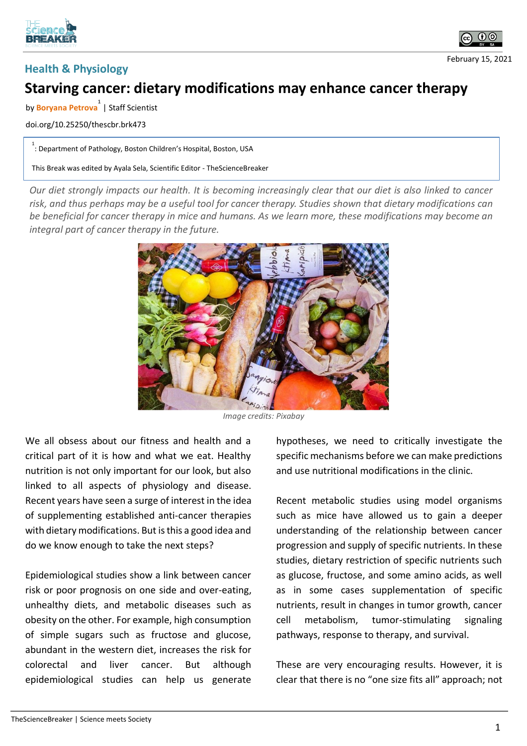





## **Starving cancer: dietary modifications may enhance cancer therapy**

by **Boryana Petrova 1** | Staff Scientist

doi.org/10.25250/thescbr.brk473

1.<br>
: Department of Pathology, Boston Children's Hospital, Boston, USA

This Break was edited by Ayala Sela, Scientific Editor - TheScienceBreaker

*Our diet strongly impacts our health. It is becoming increasingly clear that our diet is also linked to cancer risk, and thus perhaps may be a useful tool for cancer therapy. Studies shown that dietary modifications can be beneficial for cancer therapy in mice and humans. As we learn more, these modifications may become an integral part of cancer therapy in the future.*



*Image credits: Pixabay*

We all obsess about our fitness and health and a critical part of it is how and what we eat. Healthy nutrition is not only important for our look, but also linked to all aspects of physiology and disease. Recent years have seen a surge of interest in the idea of supplementing established anti-cancer therapies with dietary modifications. But is this a good idea and do we know enough to take the next steps?

Epidemiological studies show a link between cancer risk or poor prognosis on one side and over-eating, unhealthy diets, and metabolic diseases such as obesity on the other. For example, high consumption of simple sugars such as fructose and glucose, abundant in the western diet, increases the risk for colorectal and liver cancer. But although epidemiological studies can help us generate

hypotheses, we need to critically investigate the specific mechanisms before we can make predictions and use nutritional modifications in the clinic.

Recent metabolic studies using model organisms such as mice have allowed us to gain a deeper understanding of the relationship between cancer progression and supply of specific nutrients. In these studies, dietary restriction of specific nutrients such as glucose, fructose, and some amino acids, as well as in some cases supplementation of specific nutrients, result in changes in tumor growth, cancer cell metabolism, tumor-stimulating signaling pathways, response to therapy, and survival.

These are very encouraging results. However, it is clear that there is no "one size fits all" approach; not